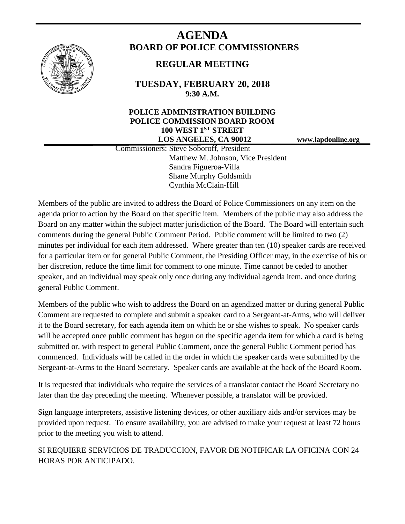

# **AGENDA BOARD OF POLICE COMMISSIONERS**

## **REGULAR MEETING**

**TUESDAY, FEBRUARY 20, 2018 9:30 A.M.**

### **POLICE ADMINISTRATION BUILDING POLICE COMMISSION BOARD ROOM 100 WEST 1ST STREET LOS ANGELES, CA 90012 www.lapdonline.org**

 Commissioners: Steve Soboroff, President Matthew M. Johnson, Vice President Sandra Figueroa-Villa Shane Murphy Goldsmith Cynthia McClain-Hill

Members of the public are invited to address the Board of Police Commissioners on any item on the agenda prior to action by the Board on that specific item. Members of the public may also address the Board on any matter within the subject matter jurisdiction of the Board. The Board will entertain such comments during the general Public Comment Period. Public comment will be limited to two (2) minutes per individual for each item addressed. Where greater than ten (10) speaker cards are received for a particular item or for general Public Comment, the Presiding Officer may, in the exercise of his or her discretion, reduce the time limit for comment to one minute. Time cannot be ceded to another speaker, and an individual may speak only once during any individual agenda item, and once during general Public Comment.

Members of the public who wish to address the Board on an agendized matter or during general Public Comment are requested to complete and submit a speaker card to a Sergeant-at-Arms, who will deliver it to the Board secretary, for each agenda item on which he or she wishes to speak. No speaker cards will be accepted once public comment has begun on the specific agenda item for which a card is being submitted or, with respect to general Public Comment, once the general Public Comment period has commenced. Individuals will be called in the order in which the speaker cards were submitted by the Sergeant-at-Arms to the Board Secretary. Speaker cards are available at the back of the Board Room.

It is requested that individuals who require the services of a translator contact the Board Secretary no later than the day preceding the meeting. Whenever possible, a translator will be provided.

Sign language interpreters, assistive listening devices, or other auxiliary aids and/or services may be provided upon request. To ensure availability, you are advised to make your request at least 72 hours prior to the meeting you wish to attend.

SI REQUIERE SERVICIOS DE TRADUCCION, FAVOR DE NOTIFICAR LA OFICINA CON 24 HORAS POR ANTICIPADO.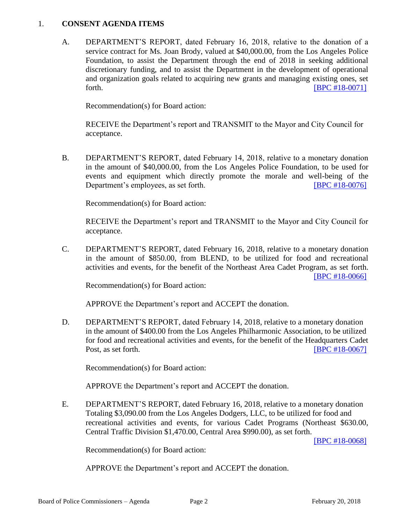#### 1. **CONSENT AGENDA ITEMS**

A. DEPARTMENT'S REPORT, dated February 16, 2018, relative to the donation of a service contract for Ms. Joan Brody, valued at \$40,000.00, from the Los Angeles Police Foundation, to assist the Department through the end of 2018 in seeking additional discretionary funding, and to assist the Department in the development of operational and organization goals related to acquiring new grants and managing existing ones, set forth. **IBPC** #18-0071]

Recommendation(s) for Board action:

RECEIVE the Department's report and TRANSMIT to the Mayor and City Council for acceptance.

B. DEPARTMENT'S REPORT, dated February 14, 2018, relative to a monetary donation in the amount of \$40,000.00, from the Los Angeles Police Foundation, to be used for events and equipment which directly promote the morale and well-being of the Department's employees, as set forth. [\[BPC #18-0076\]](http://www.lapdpolicecom.lacity.org/022018/BPC_18-0076.pdf)

Recommendation(s) for Board action:

RECEIVE the Department's report and TRANSMIT to the Mayor and City Council for acceptance.

C. DEPARTMENT'S REPORT, dated February 16, 2018, relative to a monetary donation in the amount of \$850.00, from BLEND, to be utilized for food and recreational activities and events, for the benefit of the Northeast Area Cadet Program, as set forth. [\[BPC #18-0066\]](http://www.lapdpolicecom.lacity.org/022018/BPC_18-0066.pdf)

Recommendation(s) for Board action:

APPROVE the Department's report and ACCEPT the donation.

D. DEPARTMENT'S REPORT, dated February 14, 2018, relative to a monetary donation in the amount of \$400.00 from the Los Angeles Philharmonic Association, to be utilized for food and recreational activities and events, for the benefit of the Headquarters Cadet Post, as set forth. **IDPC #18-0067** 

Recommendation(s) for Board action:

APPROVE the Department's report and ACCEPT the donation.

E. DEPARTMENT'S REPORT, dated February 16, 2018, relative to a monetary donation Totaling \$3,090.00 from the Los Angeles Dodgers, LLC, to be utilized for food and recreational activities and events, for various Cadet Programs (Northeast \$630.00, Central Traffic Division \$1,470.00, Central Area \$990.00), as set forth.

[\[BPC #18-0068\]](http://www.lapdpolicecom.lacity.org/022018/BPC_18-0068.pdf)

Recommendation(s) for Board action:

APPROVE the Department's report and ACCEPT the donation.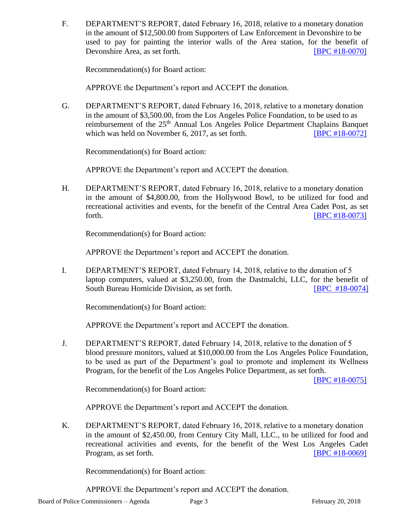F. DEPARTMENT'S REPORT, dated February 16, 2018, relative to a monetary donation in the amount of \$12,500.00 from Supporters of Law Enforcement in Devonshire to be used to pay for painting the interior walls of the Area station, for the benefit of Devonshire Area, as set forth. **[\[BPC #18-0070\]](http://www.lapdpolicecom.lacity.org/022018/BPC_18-0070.pdf)** 

Recommendation(s) for Board action:

APPROVE the Department's report and ACCEPT the donation.

G. DEPARTMENT'S REPORT, dated February 16, 2018, relative to a monetary donation in the amount of \$3,500.00, from the Los Angeles Police Foundation, to be used to as reimbursement of the 25<sup>th</sup> Annual Los Angeles Police Department Chaplains Banquet which was held on November 6, 2017, as set forth. **[\[BPC #18-0072\]](http://www.lapdpolicecom.lacity.org/022018/BPC_18-0072.pdf)** 

Recommendation(s) for Board action:

APPROVE the Department's report and ACCEPT the donation.

H. DEPARTMENT'S REPORT, dated February 16, 2018, relative to a monetary donation in the amount of \$4,800.00, from the Hollywood Bowl, to be utilized for food and recreational activities and events, for the benefit of the Central Area Cadet Post, as set forth. **IBPC #18-00731** 

Recommendation(s) for Board action:

APPROVE the Department's report and ACCEPT the donation.

I. DEPARTMENT'S REPORT, dated February 14, 2018, relative to the donation of 5 laptop computers, valued at \$3,250.00, from the Dastmalchi, LLC, for the benefit of South Bureau Homicide Division, as set forth. [\[BPC #18-0074\]](http://www.lapdpolicecom.lacity.org/022018/BPC_18-0074.pdf)

Recommendation(s) for Board action:

APPROVE the Department's report and ACCEPT the donation.

J. DEPARTMENT'S REPORT, dated February 14, 2018, relative to the donation of 5 blood pressure monitors, valued at \$10,000.00 from the Los Angeles Police Foundation, to be used as part of the Department's goal to promote and implement its Wellness Program, for the benefit of the Los Angeles Police Department, as set forth.

[\[BPC #18-0075\]](http://www.lapdpolicecom.lacity.org/022018/BPC_18-0075.pdf)

Recommendation(s) for Board action:

APPROVE the Department's report and ACCEPT the donation.

K. DEPARTMENT'S REPORT, dated February 16, 2018, relative to a monetary donation in the amount of \$2,450.00, from Century City Mall, LLC., to be utilized for food and recreational activities and events, for the benefit of the West Los Angeles Cadet Program, as set forth. **IDPC #18-0069** 

Recommendation(s) for Board action:

APPROVE the Department's report and ACCEPT the donation.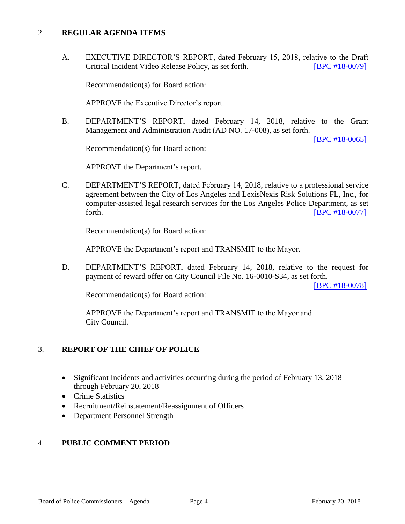#### 2. **REGULAR AGENDA ITEMS**

A. EXECUTIVE DIRECTOR'S REPORT, dated February 15, 2018, relative to the Draft Critical Incident Video Release Policy, as set forth. [\[BPC #18-0079\]](http://www.lapdpolicecom.lacity.org/022018/BPC_18-0079.pdf)

Recommendation(s) for Board action:

APPROVE the Executive Director's report.

B. DEPARTMENT'S REPORT, dated February 14, 2018, relative to the Grant Management and Administration Audit (AD NO. 17-008), as set forth.

[\[BPC #18-0065\]](http://www.lapdpolicecom.lacity.org/022018/BPC_18-0065.pdf)

Recommendation(s) for Board action:

APPROVE the Department's report.

C. DEPARTMENT'S REPORT, dated February 14, 2018, relative to a professional service agreement between the City of Los Angeles and LexisNexis Risk Solutions FL, Inc., for computer-assisted legal research services for the Los Angeles Police Department, as set forth. **IBPC #18-00771** 

Recommendation(s) for Board action:

APPROVE the Department's report and TRANSMIT to the Mayor.

D. DEPARTMENT'S REPORT, dated February 14, 2018, relative to the request for payment of reward offer on City Council File No. 16-0010-S34, as set forth.

[\[BPC #18-0078\]](http://www.lapdpolicecom.lacity.org/022018/BPC_18-0078.pdf)

Recommendation(s) for Board action:

APPROVE the Department's report and TRANSMIT to the Mayor and City Council.

#### 3. **REPORT OF THE CHIEF OF POLICE**

- Significant Incidents and activities occurring during the period of February 13, 2018 through February 20, 2018
- Crime Statistics
- Recruitment/Reinstatement/Reassignment of Officers
- Department Personnel Strength

#### 4. **PUBLIC COMMENT PERIOD**